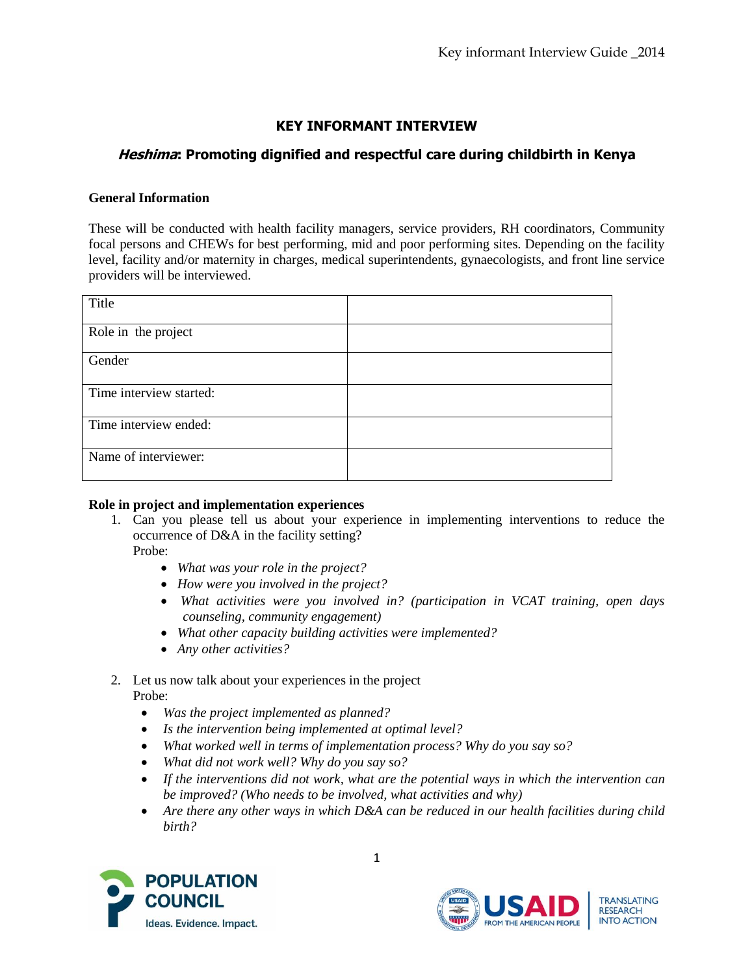# **KEY INFORMANT INTERVIEW**

# **Heshima: Promoting dignified and respectful care during childbirth in Kenya**

## **General Information**

These will be conducted with health facility managers, service providers, RH coordinators, Community focal persons and CHEWs for best performing, mid and poor performing sites. Depending on the facility level, facility and/or maternity in charges, medical superintendents, gynaecologists, and front line service providers will be interviewed.

| Title                   |  |
|-------------------------|--|
| Role in the project     |  |
| Gender                  |  |
| Time interview started: |  |
| Time interview ended:   |  |
| Name of interviewer:    |  |

#### **Role in project and implementation experiences**

1. Can you please tell us about your experience in implementing interventions to reduce the occurrence of D&A in the facility setting?

Probe:

- *What was your role in the project?*
- *How were you involved in the project?*
- *What activities were you involved in? (participation in VCAT training, open days counseling, community engagement)*
- *What other capacity building activities were implemented?*
- *Any other activities?*

# 2. Let us now talk about your experiences in the project Probe:

- *Was the project implemented as planned?*
- *Is the intervention being implemented at optimal level?*
- *What worked well in terms of implementation process? Why do you say so?*
- *What did not work well? Why do you say so?*
- *If the interventions did not work, what are the potential ways in which the intervention can be improved? (Who needs to be involved, what activities and why)*
- *Are there any other ways in which D&A can be reduced in our health facilities during child birth?*

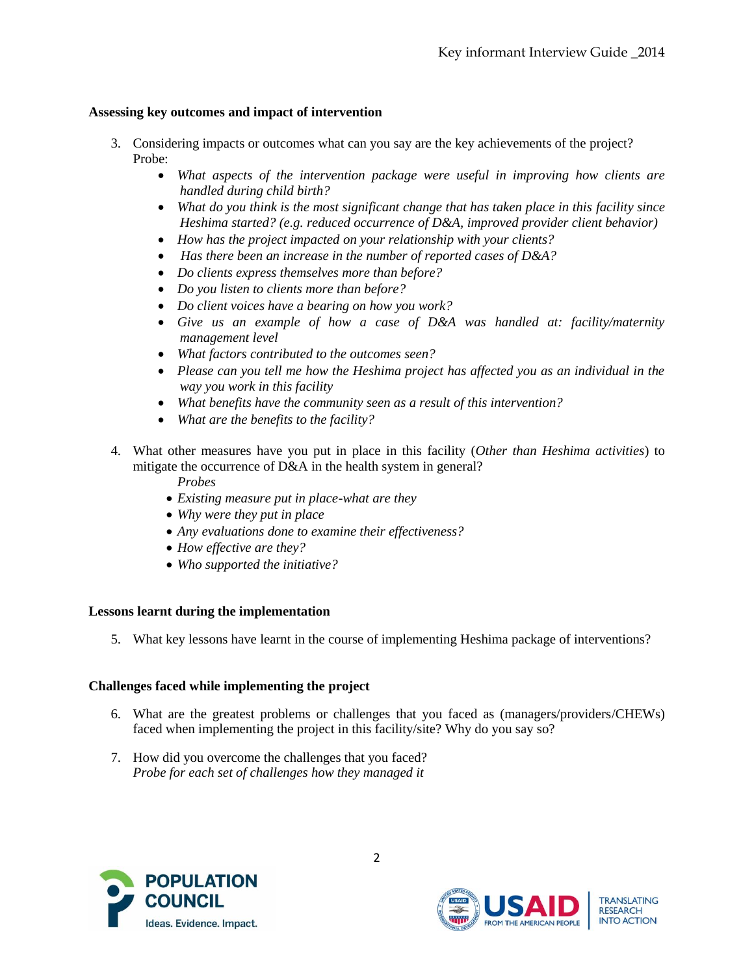# **Assessing key outcomes and impact of intervention**

- 3. Considering impacts or outcomes what can you say are the key achievements of the project? Probe:
	- *What aspects of the intervention package were useful in improving how clients are handled during child birth?*
	- *What do you think is the most significant change that has taken place in this facility since Heshima started? (e.g. reduced occurrence of D&A, improved provider client behavior)*
	- *How has the project impacted on your relationship with your clients?*
	- *Has there been an increase in the number of reported cases of D&A?*
	- *Do clients express themselves more than before?*
	- *Do you listen to clients more than before?*
	- *Do client voices have a bearing on how you work?*
	- *Give us an example of how a case of D&A was handled at: facility/maternity management level*
	- *What factors contributed to the outcomes seen?*
	- *Please can you tell me how the Heshima project has affected you as an individual in the way you work in this facility*
	- *What benefits have the community seen as a result of this intervention?*
	- *What are the benefits to the facility?*
- 4. What other measures have you put in place in this facility (*Other than Heshima activities*) to mitigate the occurrence of D&A in the health system in general?

*Probes* 

- *Existing measure put in place-what are they*
- *Why were they put in place*
- *Any evaluations done to examine their effectiveness?*
- *How effective are they?*
- *Who supported the initiative?*

# **Lessons learnt during the implementation**

5. What key lessons have learnt in the course of implementing Heshima package of interventions?

# **Challenges faced while implementing the project**

- 6. What are the greatest problems or challenges that you faced as (managers/providers/CHEWs) faced when implementing the project in this facility/site? Why do you say so?
- 7. How did you overcome the challenges that you faced? *Probe for each set of challenges how they managed it*